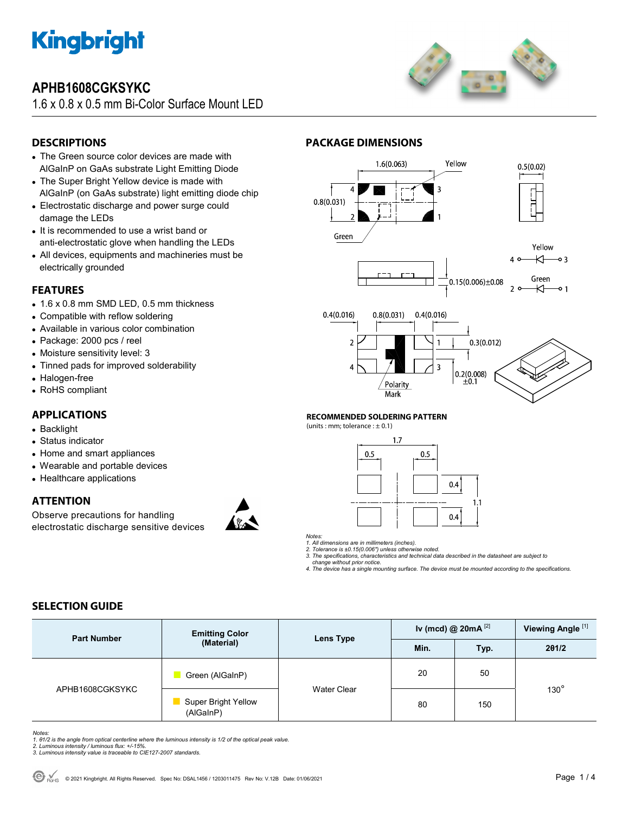

## **APHB1608CGKSYKC**

1.6 x 0.8 x 0.5 mm Bi-Color Surface Mount LED



## **DESCRIPTIONS**

- The Green source color devices are made with AlGaInP on GaAs substrate Light Emitting Diode
- The Super Bright Yellow device is made with AlGaInP (on GaAs substrate) light emitting diode chip
- Electrostatic discharge and power surge could damage the LEDs
- It is recommended to use a wrist band or anti-electrostatic glove when handling the LEDs
- All devices, equipments and machineries must be electrically grounded

### **FEATURES**

- 1.6 x 0.8 mm SMD LED, 0.5 mm thickness
- Compatible with reflow soldering
- Available in various color combination
- Package: 2000 pcs / reel
- Moisture sensitivity level: 3
- Tinned pads for improved solderability
- Halogen-free
- RoHS compliant

### **APPLICATIONS**

- Backlight
- Status indicator
- Home and smart appliances
- Wearable and portable devices
- Healthcare applications

### **ATTENTION**

Observe precautions for handling electrostatic discharge sensitive devices







#### **RECOMMENDED SOLDERING PATTERN**

**PACKAGE DIMENSIONS** 

(units : mm; tolerance :  $\pm$  0.1)



*Notes:* 

*1. All dimensions are in millimeters (inches). 2. Tolerance is ±0.15(0.006") unless otherwise noted.* 

*3. The specifications, characteristics and technical data described in the datasheet are subject to* 

 *change without prior notice. 4. The device has a single mounting surface. The device must be mounted according to the specifications.* 

### **SELECTION GUIDE**

| <b>Part Number</b> | <b>Emitting Color</b><br>(Material) | Lens Type          | Iv (mcd) @ $20mA$ <sup>[2]</sup> |      | Viewing Angle <sup>[1]</sup> |  |
|--------------------|-------------------------------------|--------------------|----------------------------------|------|------------------------------|--|
|                    |                                     |                    | Min.                             | Typ. | 201/2                        |  |
| APHB1608CGKSYKC    | Green (AlGaInP)                     | <b>Water Clear</b> | 20                               | 50   |                              |  |
|                    | Super Bright Yellow<br>(AlGaInP)    |                    | 80                               | 150  | $130^\circ$                  |  |

Notes:<br>1. 81/2 is the angle from optical centerline where the luminous intensity is 1/2 of the optical peak value.<br>2. Luminous intensity / luminous flux: +/-15%.<br>3. Luminous intensity value is traceable to CIE127-2007 stan

- 
-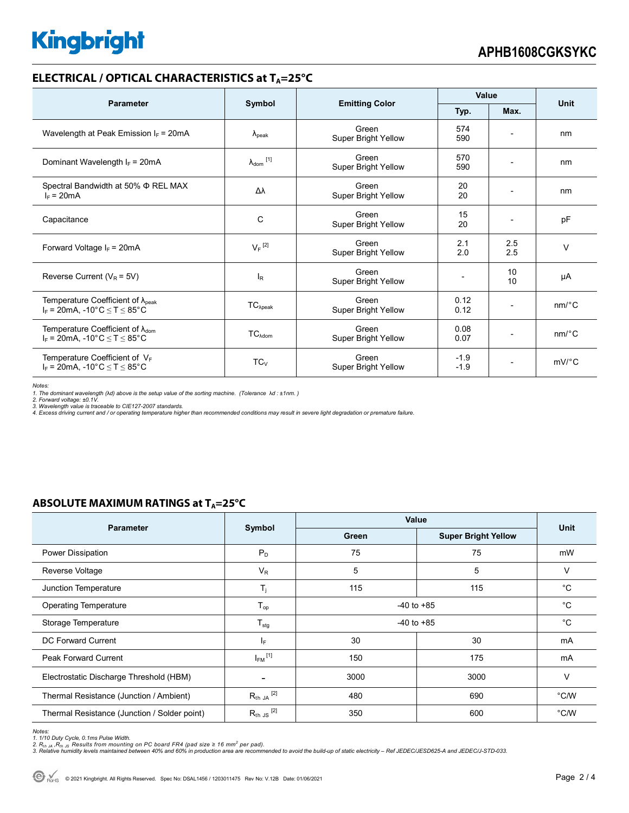# **Kingbright**

## **ELECTRICAL / OPTICAL CHARACTERISTICS at TA=25°C**

| <b>Parameter</b>                                                                              | Symbol                     |                                     | Value            |                          |                       |
|-----------------------------------------------------------------------------------------------|----------------------------|-------------------------------------|------------------|--------------------------|-----------------------|
|                                                                                               |                            | <b>Emitting Color</b>               | Typ.             | Max.                     | <b>Unit</b>           |
| Wavelength at Peak Emission $I_F = 20mA$                                                      | $\lambda_{\rm peak}$       | Green<br>Super Bright Yellow        | 574<br>590       |                          | nm                    |
| Dominant Wavelength $I_F = 20mA$                                                              | $\lambda_{\text{dom}}$ [1] | Green<br>Super Bright Yellow        | 570<br>590       |                          | nm                    |
| Spectral Bandwidth at 50% Φ REL MAX<br>$I_F = 20mA$                                           | Δλ                         | Green<br>Super Bright Yellow        | 20<br>20         |                          | nm                    |
| Capacitance                                                                                   | C                          | Green<br>Super Bright Yellow        | 15<br>20         |                          | pF                    |
| Forward Voltage $I_F$ = 20mA                                                                  | $V_F$ <sup>[2]</sup>       | Green<br>Super Bright Yellow        | 2.1<br>2.0       | 2.5<br>2.5               | $\vee$                |
| Reverse Current ( $V_R$ = 5V)                                                                 | $I_R$                      | Green<br><b>Super Bright Yellow</b> |                  | 10<br>10                 | μA                    |
| Temperature Coefficient of $\lambda_{\text{peak}}$<br>$I_F$ = 20mA, -10°C $\leq T \leq 85$ °C | $TC_{\lambda peak}$        | Green<br>Super Bright Yellow        | 0.12<br>0.12     |                          | nm/°C                 |
| Temperature Coefficient of $\lambda_{\text{dom}}$<br>$I_F = 20mA$ , -10°C $\le T \le 85$ °C   | TC <sub>Adam</sub>         | Green<br>Super Bright Yellow        | 0.08<br>0.07     | $\overline{\phantom{a}}$ | $nm$ <sup>o</sup> $C$ |
| Temperature Coefficient of VF<br>$I_F$ = 20mA, -10°C $\leq T \leq 85$ °C                      | $TC_V$                     | Green<br><b>Super Bright Yellow</b> | $-1.9$<br>$-1.9$ |                          | $mV$ °C               |

*Notes:* 

1. The dominant wavelength (λd) above is the setup value of the sorting machine. (Tolerance λd : ±1nm. )<br>2. Forward voltage: ±0.1V.<br>3. Wavelength value is traceable to CIE127-2007 standards.<br>4. Excess driving current and

### **ABSOLUTE MAXIMUM RATINGS at T<sub>A</sub>=25°C**

| <b>Parameter</b>                             |                         | Value          |                            |             |  |
|----------------------------------------------|-------------------------|----------------|----------------------------|-------------|--|
|                                              | Symbol                  | Green          | <b>Super Bright Yellow</b> | <b>Unit</b> |  |
| Power Dissipation                            | $P_D$                   | 75             | 75                         | mW          |  |
| Reverse Voltage                              | $V_R$                   | 5<br>5         |                            | $\vee$      |  |
| Junction Temperature                         | $T_i$                   | 115            | 115                        | $^{\circ}C$ |  |
| <b>Operating Temperature</b>                 | $T_{op}$                | $-40$ to $+85$ |                            | $^{\circ}C$ |  |
| Storage Temperature                          | $T_{\text{stg}}$        | $-40$ to $+85$ |                            | $^{\circ}C$ |  |
| DC Forward Current                           | IF.                     | 30<br>30       |                            | mA          |  |
| <b>Peak Forward Current</b>                  | $I_{FM}$ <sup>[1]</sup> | 150<br>175     |                            | mA          |  |
| Electrostatic Discharge Threshold (HBM)      |                         | 3000           | 3000                       | $\vee$      |  |
| Thermal Resistance (Junction / Ambient)      | $R_{th}$ ja $^{[2]}$    | 480            | 690                        | °C/W        |  |
| Thermal Resistance (Junction / Solder point) | $R_{th}$ JS $^{[2]}$    | 350            | 600                        | °C/W        |  |

*Notes:* 

1. 1/10 Duty Cycle, 0.1ms Pulse Width.<br>2. R<sub>th Ja</sub> ,R<sub>h JS</sub> Results from mounting on PC board FR4 (pad size ≥ 16 mm<sup>2</sup> per pad).<br>3. Relative humidity levels maintained between 40% and 60% in production area are recommende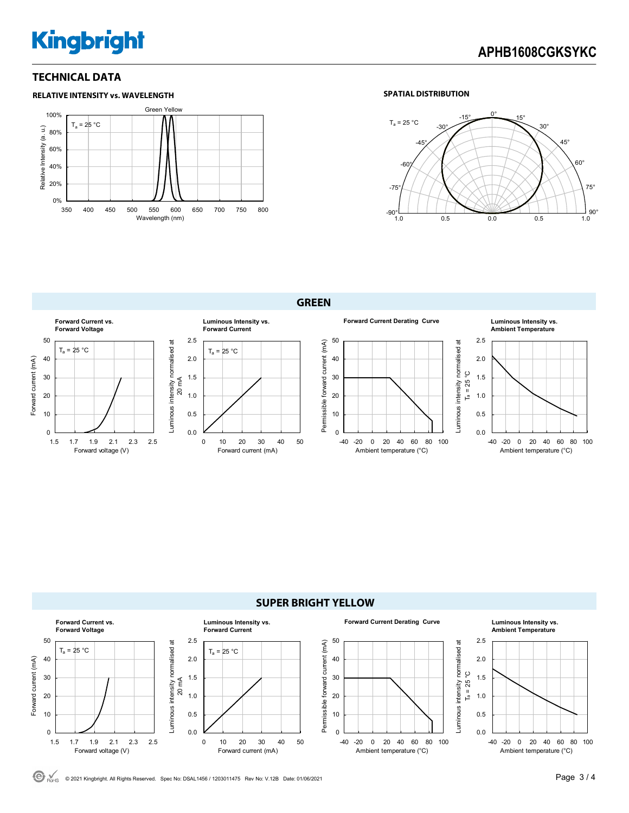# **Kingbright**

# **APHB1608CGKSYKC**

### **TECHNICAL DATA**



### **SPATIAL DISTRIBUTION**



**GREEN** 





© <sub>ROHS</sub> © 2021 Kingbright. All Rights Reserved. Spec No: DSAL1456 / 1203011475 Rev No: V.12B Date: 01/06/2021 **Page 3 / 4 Page 3 / 4**